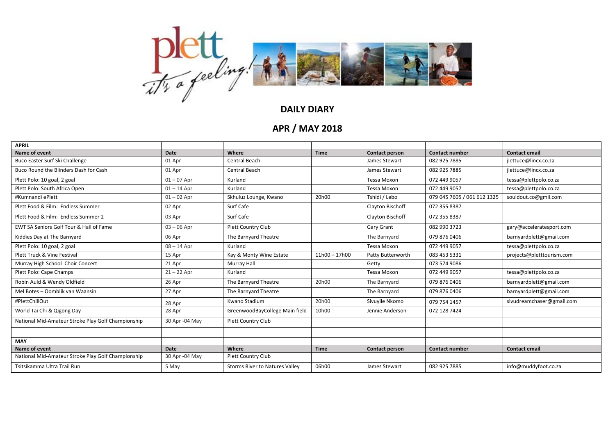

## **DAILY DIARY**

## **APR / MAY 2018**

| <b>APRIL</b>                                       |                |                                |                 |                       |                             |                           |
|----------------------------------------------------|----------------|--------------------------------|-----------------|-----------------------|-----------------------------|---------------------------|
| Name of event                                      | Date           | Where                          | <b>Time</b>     | Contact person        | <b>Contact number</b>       | <b>Contact email</b>      |
| Buco Easter Surf Ski Challenge                     | 01 Apr         | Central Beach                  |                 | James Stewart         | 082 925 7885                | jlettuce@lincx.co.za      |
| Buco Round the Blinders Dash for Cash              | 01 Apr         | Central Beach                  |                 | James Stewart         | 082 925 7885                | jlettuce@lincx.co.za      |
| Plett Polo: 10 goal, 2 goal                        | $01 - 07$ Apr  | Kurland                        |                 | Tessa Moxon           | 072 449 9057                | tessa@plettpolo.co.za     |
| Plett Polo: South Africa Open                      | $01 - 14$ Apr  | Kurland                        |                 | Tessa Moxon           | 072 449 9057                | tessa@plettpolo.co.za     |
| #Kumnandi ePlett                                   | $01 - 02$ Apr  | Skhuluz Lounge, Kwano          | 20h00           | Tshidi / Lebo         | 079 045 7605 / 061 612 1325 | souldout.co@gmil.com      |
| Plett Food & Film: Endless Summer                  | 02 Apr         | Surf Cafe                      |                 | Clayton Bischoff      | 072 355 8387                |                           |
| Plett Food & Film: Endless Summer 2                | 03 Apr         | Surf Cafe                      |                 | Clayton Bischoff      | 072 355 8387                |                           |
| EWT SA Seniors Golf Tour & Hall of Fame            | $03 - 06$ Apr  | Plett Country Club             |                 | Gary Grant            | 082 990 3723                | gary@acceleratesport.com  |
| Kiddies Day at The Barnyard                        | 06 Apr         | The Barnyard Theatre           |                 | The Barnyard          | 079 876 0406                | barnyardplett@gmail.com   |
| Plett Polo: 10 goal, 2 goal                        | $08 - 14$ Apr  | Kurland                        |                 | Tessa Moxon           | 072 449 9057                | tessa@plettpolo.co.za     |
| Plett Truck & Vine Festival                        | 15 Apr         | Kay & Monty Wine Estate        | $11h00 - 17h00$ | Patty Butterworth     | 083 453 5331                | projects@pletttourism.com |
| Murray High School Choir Concert                   | 21 Apr         | Murray Hall                    |                 | Getty                 | 073 574 9086                |                           |
| Plett Polo: Cape Champs                            | $21 - 22$ Apr  | Kurland                        |                 | Tessa Moxon           | 072 449 9057                | tessa@plettpolo.co.za     |
| Robin Auld & Wendy Oldfield                        | 26 Apr         | The Barnyard Theatre           | 20h00           | The Barnyard          | 079 876 0406                | barnyardplett@gmail.com   |
| Mel Botes - Oomblik van Waansin                    | 27 Apr         | The Barnyard Theatre           |                 | The Barnyard          | 079 876 0406                | barnyardplett@gmail.com   |
| #PlettChillOut                                     | 28 Apr         | Kwano Stadium                  | 20h00           | Sivuyile Nkomo        | 079 754 1457                | sivudreamchaser@gmail.com |
| World Tai Chi & Qigong Day                         | 28 Apr         | GreenwoodBayCollege Main field | 10h00           | Jennie Anderson       | 072 128 7424                |                           |
| National Mid-Amateur Stroke Play Golf Championship | 30 Apr -04 May | <b>Plett Country Club</b>      |                 |                       |                             |                           |
|                                                    |                |                                |                 |                       |                             |                           |
| <b>MAY</b>                                         |                |                                |                 |                       |                             |                           |
| Name of event                                      | Date           | Where                          | <b>Time</b>     | <b>Contact person</b> | <b>Contact number</b>       | <b>Contact email</b>      |
| National Mid-Amateur Stroke Play Golf Championship | 30 Apr -04 May | Plett Country Club             |                 |                       |                             |                           |
| Tsitsikamma Ultra Trail Run                        | 5 May          | Storms River to Natures Valley | 06h00           | James Stewart         | 082 925 7885                | info@muddyfoot.co.za      |